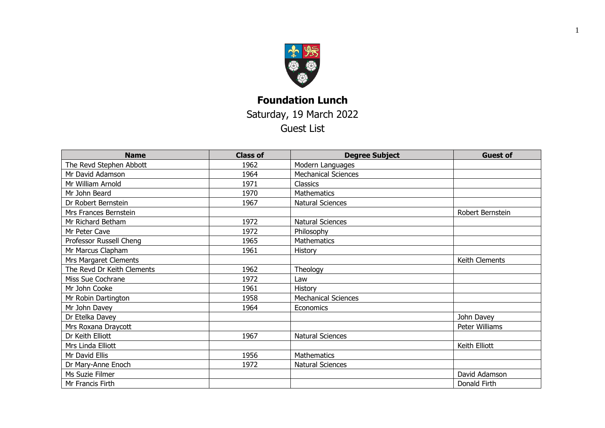

## **Foundation Lunch** Saturday, 19 March 2022 Guest List

| <b>Name</b>                | <b>Class of</b> | <b>Degree Subject</b>      | <b>Guest of</b>  |
|----------------------------|-----------------|----------------------------|------------------|
| The Revd Stephen Abbott    | 1962            | Modern Languages           |                  |
| Mr David Adamson           | 1964            | <b>Mechanical Sciences</b> |                  |
| Mr William Arnold          | 1971            | <b>Classics</b>            |                  |
| Mr John Beard              | 1970            | <b>Mathematics</b>         |                  |
| Dr Robert Bernstein        | 1967            | <b>Natural Sciences</b>    |                  |
| Mrs Frances Bernstein      |                 |                            | Robert Bernstein |
| Mr Richard Betham          | 1972            | Natural Sciences           |                  |
| Mr Peter Cave              | 1972            | Philosophy                 |                  |
| Professor Russell Cheng    | 1965            | <b>Mathematics</b>         |                  |
| Mr Marcus Clapham          | 1961            | History                    |                  |
| Mrs Margaret Clements      |                 |                            | Keith Clements   |
| The Revd Dr Keith Clements | 1962            | Theology                   |                  |
| Miss Sue Cochrane          | 1972            | Law                        |                  |
| Mr John Cooke              | 1961            | History                    |                  |
| Mr Robin Dartington        | 1958            | <b>Mechanical Sciences</b> |                  |
| Mr John Davey              | 1964            | Economics                  |                  |
| Dr Etelka Davey            |                 |                            | John Davey       |
| Mrs Roxana Draycott        |                 |                            | Peter Williams   |
| Dr Keith Elliott           | 1967            | <b>Natural Sciences</b>    |                  |
| Mrs Linda Elliott          |                 |                            | Keith Elliott    |
| Mr David Ellis             | 1956            | <b>Mathematics</b>         |                  |
| Dr Mary-Anne Enoch         | 1972            | Natural Sciences           |                  |
| Ms Suzie Filmer            |                 |                            | David Adamson    |
| Mr Francis Firth           |                 |                            | Donald Firth     |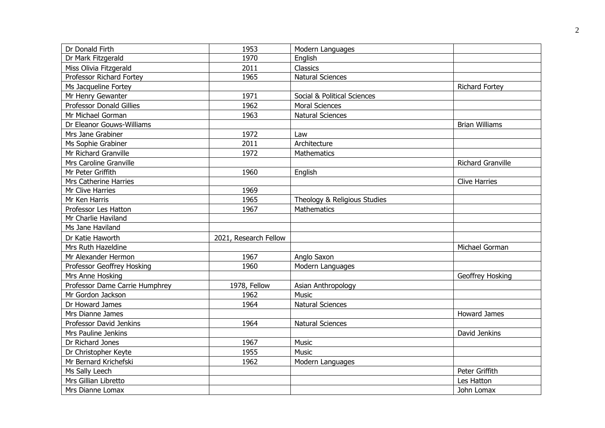| Dr Donald Firth                 | 1953                  | Modern Languages             |                          |
|---------------------------------|-----------------------|------------------------------|--------------------------|
| Dr Mark Fitzgerald              | 1970                  | English                      |                          |
| Miss Olivia Fitzgerald          | 2011                  | Classics                     |                          |
| Professor Richard Fortey        | 1965                  | <b>Natural Sciences</b>      |                          |
| Ms Jacqueline Fortey            |                       |                              | <b>Richard Fortey</b>    |
| Mr Henry Gewanter               | 1971                  | Social & Political Sciences  |                          |
| <b>Professor Donald Gillies</b> | 1962                  | <b>Moral Sciences</b>        |                          |
| Mr Michael Gorman               | 1963                  | <b>Natural Sciences</b>      |                          |
| Dr Eleanor Gouws-Williams       |                       |                              | <b>Brian Williams</b>    |
| Mrs Jane Grabiner               | 1972                  | Law                          |                          |
| Ms Sophie Grabiner              | 2011                  | Architecture                 |                          |
| Mr Richard Granville            | 1972                  | Mathematics                  |                          |
| Mrs Caroline Granville          |                       |                              | <b>Richard Granville</b> |
| Mr Peter Griffith               | 1960                  | English                      |                          |
| Mrs Catherine Harries           |                       |                              | <b>Clive Harries</b>     |
| Mr Clive Harries                | 1969                  |                              |                          |
| Mr Ken Harris                   | 1965                  | Theology & Religious Studies |                          |
| Professor Les Hatton            | 1967                  | Mathematics                  |                          |
| Mr Charlie Haviland             |                       |                              |                          |
| Ms Jane Haviland                |                       |                              |                          |
| Dr Katie Haworth                | 2021, Research Fellow |                              |                          |
| Mrs Ruth Hazeldine              |                       |                              | Michael Gorman           |
| Mr Alexander Hermon             | 1967                  | Anglo Saxon                  |                          |
| Professor Geoffrey Hosking      | 1960                  | Modern Languages             |                          |
| Mrs Anne Hosking                |                       |                              | Geoffrey Hosking         |
| Professor Dame Carrie Humphrey  | 1978, Fellow          | Asian Anthropology           |                          |
| Mr Gordon Jackson               | 1962                  | <b>Music</b>                 |                          |
| Dr Howard James                 | 1964                  | <b>Natural Sciences</b>      |                          |
| Mrs Dianne James                |                       |                              | Howard James             |
| <b>Professor David Jenkins</b>  | 1964                  | <b>Natural Sciences</b>      |                          |
| Mrs Pauline Jenkins             |                       |                              | David Jenkins            |
| Dr Richard Jones                | 1967                  | <b>Music</b>                 |                          |
| Dr Christopher Keyte            | 1955                  | <b>Music</b>                 |                          |
| Mr Bernard Krichefski           | 1962                  | Modern Languages             |                          |
| Ms Sally Leech                  |                       |                              | Peter Griffith           |
| Mrs Gillian Libretto            |                       |                              | Les Hatton               |
| Mrs Dianne Lomax                |                       |                              | John Lomax               |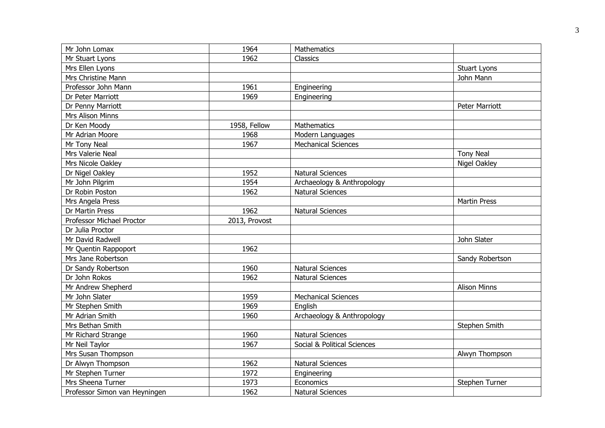| Mr John Lomax                 | 1964          | Mathematics                 |                     |
|-------------------------------|---------------|-----------------------------|---------------------|
| Mr Stuart Lyons               | 1962          | Classics                    |                     |
| Mrs Ellen Lyons               |               |                             | <b>Stuart Lyons</b> |
| Mrs Christine Mann            |               |                             | John Mann           |
| Professor John Mann           | 1961          | Engineering                 |                     |
| Dr Peter Marriott             | 1969          | Engineering                 |                     |
| Dr Penny Marriott             |               |                             | Peter Marriott      |
| Mrs Alison Minns              |               |                             |                     |
| Dr Ken Moody                  | 1958, Fellow  | Mathematics                 |                     |
| Mr Adrian Moore               | 1968          | Modern Languages            |                     |
| Mr Tony Neal                  | 1967          | <b>Mechanical Sciences</b>  |                     |
| Mrs Valerie Neal              |               |                             | <b>Tony Neal</b>    |
| Mrs Nicole Oakley             |               |                             | Nigel Oakley        |
| Dr Nigel Oakley               | 1952          | <b>Natural Sciences</b>     |                     |
| Mr John Pilgrim               | 1954          | Archaeology & Anthropology  |                     |
| Dr Robin Poston               | 1962          | <b>Natural Sciences</b>     |                     |
| Mrs Angela Press              |               |                             | <b>Martin Press</b> |
| Dr Martin Press               | 1962          | <b>Natural Sciences</b>     |                     |
| Professor Michael Proctor     | 2013, Provost |                             |                     |
| Dr Julia Proctor              |               |                             |                     |
| Mr David Radwell              |               |                             | John Slater         |
| Mr Quentin Rappoport          | 1962          |                             |                     |
| Mrs Jane Robertson            |               |                             | Sandy Robertson     |
| Dr Sandy Robertson            | 1960          | <b>Natural Sciences</b>     |                     |
| Dr John Rokos                 | 1962          | <b>Natural Sciences</b>     |                     |
| Mr Andrew Shepherd            |               |                             | <b>Alison Minns</b> |
| Mr John Slater                | 1959          | <b>Mechanical Sciences</b>  |                     |
| Mr Stephen Smith              | 1969          | English                     |                     |
| Mr Adrian Smith               | 1960          | Archaeology & Anthropology  |                     |
| Mrs Bethan Smith              |               |                             | Stephen Smith       |
| Mr Richard Strange            | 1960          | <b>Natural Sciences</b>     |                     |
| Mr Neil Taylor                | 1967          | Social & Political Sciences |                     |
| Mrs Susan Thompson            |               |                             | Alwyn Thompson      |
| Dr Alwyn Thompson             | 1962          | <b>Natural Sciences</b>     |                     |
| Mr Stephen Turner             | 1972          | Engineering                 |                     |
| Mrs Sheena Turner             | 1973          | Economics                   | Stephen Turner      |
| Professor Simon van Heyningen | 1962          | <b>Natural Sciences</b>     |                     |